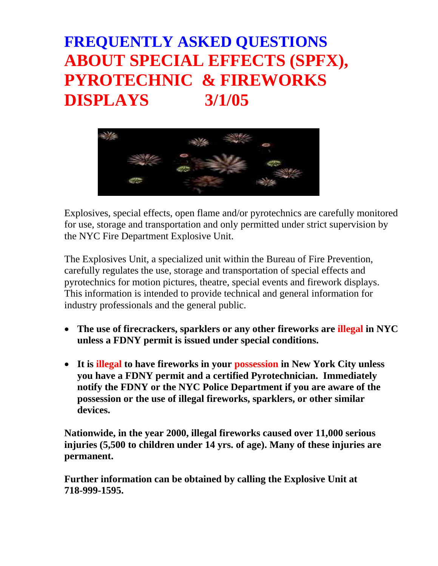# **FREQUENTLY ASKED QUESTIONS ABOUT SPECIAL EFFECTS (SPFX), PYROTECHNIC & FIREWORKS DISPLAYS 3/1/05**



Explosives, special effects, open flame and/or pyrotechnics are carefully monitored for use, storage and transportation and only permitted under strict supervision by the NYC Fire Department Explosive Unit.

The Explosives Unit, a specialized unit within the Bureau of Fire Prevention, carefully regulates the use, storage and transportation of special effects and pyrotechnics for motion pictures, theatre, special events and firework displays. This information is intended to provide technical and general information for industry professionals and the general public.

- **The use of firecrackers, sparklers or any other fireworks are illegal in NYC unless a FDNY permit is issued under special conditions.**
- **It is illegal to have fireworks in your possession in New York City unless you have a FDNY permit and a certified Pyrotechnician. Immediately notify the FDNY or the NYC Police Department if you are aware of the possession or the use of illegal fireworks, sparklers, or other similar devices.**

**Nationwide, in the year 2000, illegal fireworks caused over 11,000 serious injuries (5,500 to children under 14 yrs. of age). Many of these injuries are permanent.** 

**Further information can be obtained by calling the Explosive Unit at 718-999-1595.**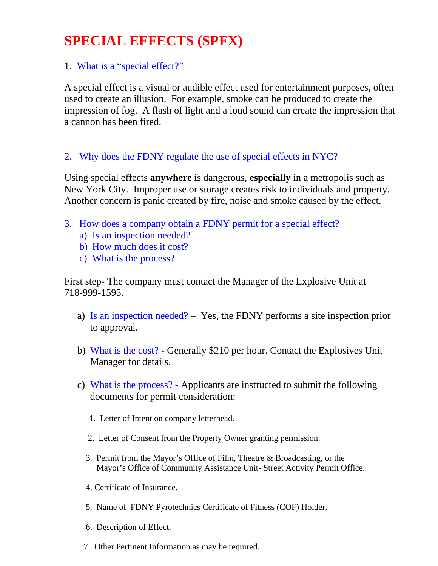### **SPECIAL EFFECTS (SPFX)**

### 1. What is a "special effect?"

A special effect is a visual or audible effect used for entertainment purposes, often used to create an illusion. For example, smoke can be produced to create the impression of fog. A flash of light and a loud sound can create the impression that a cannon has been fired.

### 2. Why does the FDNY regulate the use of special effects in NYC?

Using special effects **anywhere** is dangerous, **especially** in a metropolis such as New York City. Improper use or storage creates risk to individuals and property. Another concern is panic created by fire, noise and smoke caused by the effect.

- 3. How does a company obtain a FDNY permit for a special effect?
	- a) Is an inspection needed?
	- b) How much does it cost?
	- c) What is the process?

First step- The company must contact the Manager of the Explosive Unit at 718-999-1595.

- a) Is an inspection needed? Yes, the FDNY performs a site inspection prior to approval.
- b) What is the cost? Generally \$210 per hour. Contact the Explosives Unit Manager for details.
- c) What is the process? Applicants are instructed to submit the following documents for permit consideration:
	- 1. Letter of Intent on company letterhead.
	- 2. Letter of Consent from the Property Owner granting permission.
	- 3. Permit from the Mayor's Office of Film, Theatre & Broadcasting, or the Mayor's Office of Community Assistance Unit- Street Activity Permit Office.
	- 4. Certificate of Insurance.
	- 5. Name of FDNY Pyrotechnics Certificate of Fitness (COF) Holder.
	- 6. Description of Effect.
	- 7. Other Pertinent Information as may be required.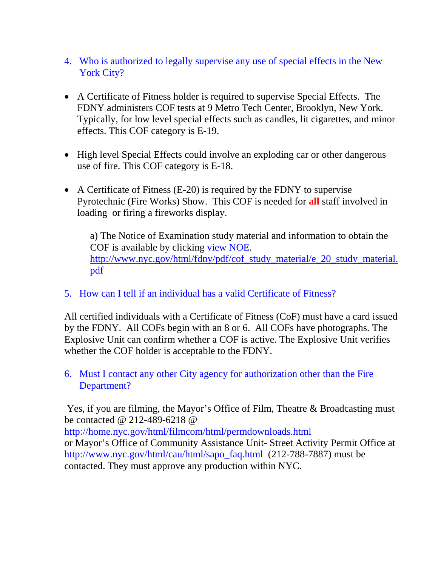- 4. Who is authorized to legally supervise any use of special effects in the New York City?
- A Certificate of Fitness holder is required to supervise Special Effects. The FDNY administers COF tests at 9 Metro Tech Center, Brooklyn, New York. Typically, for low level special effects such as candles, lit cigarettes, and minor effects. This COF category is E-19.
- High level Special Effects could involve an exploding car or other dangerous use of fire. This COF category is E-18.
- A Certificate of Fitness (E-20) is required by the FDNY to supervise Pyrotechnic (Fire Works) Show. This COF is needed for **all** staff involved in loading or firing a fireworks display.

a) The Notice of Examination study material and information to obtain the COF is available by clicking view NOE. http://www.nyc.gov/html/fdny/pdf/cof\_study\_material/e\_20\_study\_material. pdf

5. How can I tell if an individual has a valid Certificate of Fitness?

All certified individuals with a Certificate of Fitness (CoF) must have a card issued by the FDNY. All COFs begin with an 8 or 6. All COFs have photographs. The Explosive Unit can confirm whether a COF is active. The Explosive Unit verifies whether the COF holder is acceptable to the FDNY.

#### 6. Must I contact any other City agency for authorization other than the Fire Department?

 Yes, if you are filming, the Mayor's Office of Film, Theatre & Broadcasting must be contacted @ 212-489-6218 @

http://home.nyc.gov/html/filmcom/html/permdownloads.html

or Mayor's Office of Community Assistance Unit- Street Activity Permit Office at http://www.nyc.gov/html/cau/html/sapo\_faq.html (212-788-7887) must be contacted. They must approve any production within NYC.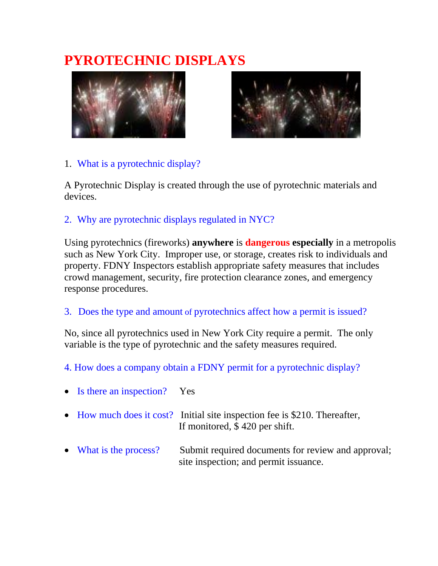## **PYROTECHNIC DISPLAYS**





### 1. What is a pyrotechnic display?

A Pyrotechnic Display is created through the use of pyrotechnic materials and devices.

### 2. Why are pyrotechnic displays regulated in NYC?

Using pyrotechnics (fireworks) **anywhere** is **dangerous especially** in a metropolis such as New York City. Improper use, or storage, creates risk to individuals and property. FDNY Inspectors establish appropriate safety measures that includes crowd management, security, fire protection clearance zones, and emergency response procedures.

3. Does the type and amount of pyrotechnics affect how a permit is issued?

No, since all pyrotechnics used in New York City require a permit. The only variable is the type of pyrotechnic and the safety measures required.

4. How does a company obtain a FDNY permit for a pyrotechnic display?

| • Is there an inspection? Yes |                                                                                                               |
|-------------------------------|---------------------------------------------------------------------------------------------------------------|
|                               | • How much does it cost? Initial site inspection fee is \$210. Thereafter,<br>If monitored, $$420$ per shift. |
| • What is the process?        | Submit required documents for review and approval;<br>site inspection; and permit issuance.                   |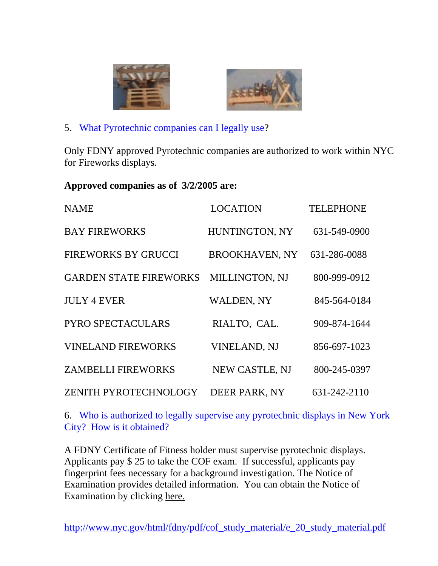



5. What Pyrotechnic companies can I legally use?

Only FDNY approved Pyrotechnic companies are authorized to work within NYC for Fireworks displays.

#### **Approved companies as of 3/2/2005 are:**

| <b>NAME</b>                   | <b>LOCATION</b>       | <b>TELEPHONE</b> |
|-------------------------------|-----------------------|------------------|
| <b>BAY FIREWORKS</b>          | HUNTINGTON, NY        | 631-549-0900     |
| <b>FIREWORKS BY GRUCCI</b>    | <b>BROOKHAVEN, NY</b> | 631-286-0088     |
| <b>GARDEN STATE FIREWORKS</b> | MILLINGTON, NJ        | 800-999-0912     |
| <b>JULY 4 EVER</b>            | <b>WALDEN, NY</b>     | 845-564-0184     |
| PYRO SPECTACULARS             | RIALTO, CAL.          | 909-874-1644     |
| <b>VINELAND FIREWORKS</b>     | <b>VINELAND, NJ</b>   | 856-697-1023     |
| <b>ZAMBELLI FIREWORKS</b>     | NEW CASTLE, NJ        | 800-245-0397     |
| ZENITH PYROTECHNOLOGY         | DEER PARK, NY         | 631-242-2110     |

6. Who is authorized to legally supervise any pyrotechnic displays in New York City? How is it obtained?

A FDNY Certificate of Fitness holder must supervise pyrotechnic displays. Applicants pay \$ 25 to take the COF exam. If successful, applicants pay fingerprint fees necessary for a background investigation. The Notice of Examination provides detailed information. You can obtain the Notice of Examination by clicking here.

http://www.nyc.gov/html/fdny/pdf/cof\_study\_material/e\_20\_study\_material.pdf